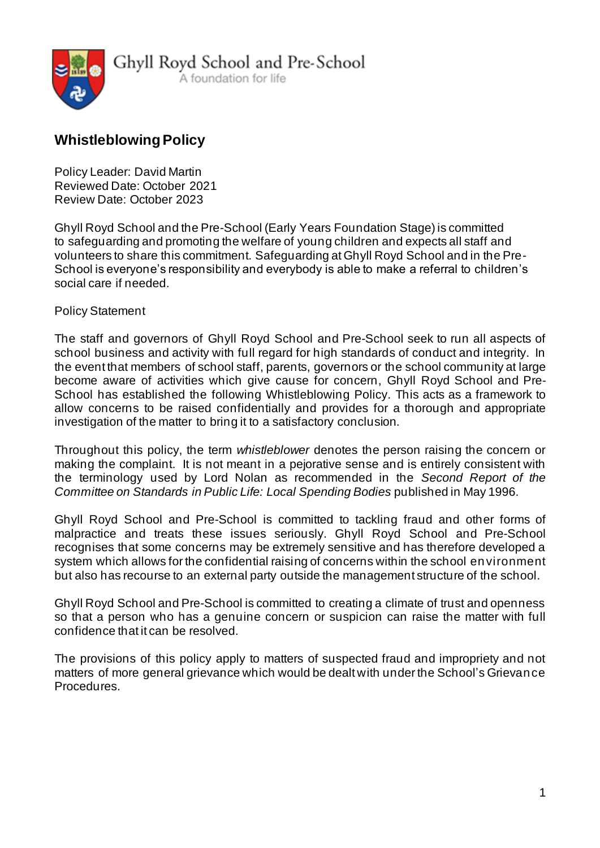

# **WhistleblowingPolicy**

Policy Leader: David Martin Reviewed Date: October 2021 Review Date: October 2023

Ghyll Royd School and the Pre-School (Early Years Foundation Stage) is committed to safeguarding and promoting the welfare of young children and expects all staff and volunteers to share this commitment. Safeguarding at Ghyll Royd School and in the Pre-School is everyone's responsibility and everybody is able to make a referral to children's social care if needed.

#### Policy Statement

The staff and governors of Ghyll Royd School and Pre-School seek to run all aspects of school business and activity with full regard for high standards of conduct and integrity. In the event that members of school staff, parents, governors or the school community at large become aware of activities which give cause for concern, Ghyll Royd School and Pre-School has established the following Whistleblowing Policy. This acts as a framework to allow concerns to be raised confidentially and provides for a thorough and appropriate investigation of the matter to bring it to a satisfactory conclusion.

Throughout this policy, the term *whistleblower* denotes the person raising the concern or making the complaint. It is not meant in a pejorative sense and is entirely consistent with the terminology used by Lord Nolan as recommended in the *Second Report of the Committee on Standards in Public Life: Local Spending Bodies* published in May 1996.

Ghyll Royd School and Pre-School is committed to tackling fraud and other forms of malpractice and treats these issues seriously. Ghyll Royd School and Pre-School recognises that some concerns may be extremely sensitive and has therefore developed a system which allows for the confidential raising of concerns within the school environment but also has recourse to an external party outside the management structure of the school.

Ghyll Royd School and Pre-School is committed to creating a climate of trust and openness so that a person who has a genuine concern or suspicion can raise the matter with full confidence that it can be resolved.

The provisions of this policy apply to matters of suspected fraud and impropriety and not matters of more general grievance which would be dealt with under the School's Grievance Procedures.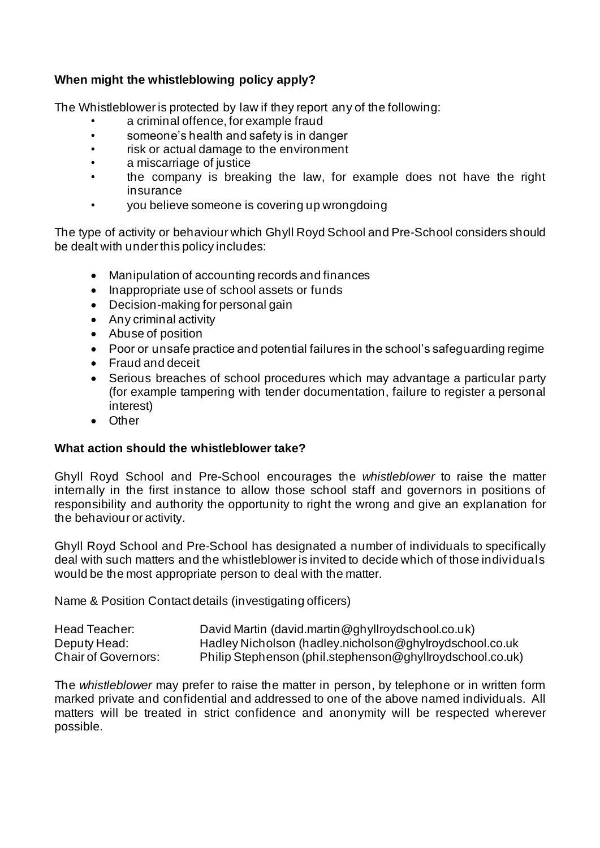# **When might the whistleblowing policy apply?**

The Whistleblower is protected by law if they report any of the following:

- a criminal offence, for example fraud
- someone's health and safety is in danger
- risk or actual damage to the environment
- a miscarriage of justice
- the company is breaking the law, for example does not have the right insurance
- you believe someone is covering up wrongdoing

The type of activity or behaviour which Ghyll Royd School and Pre-School considers should be dealt with under this policy includes:

- Manipulation of accounting records and finances
- Inappropriate use of school assets or funds
- Decision-making for personal gain
- Any criminal activity
- Abuse of position
- Poor or unsafe practice and potential failures in the school's safeguarding regime
- Fraud and deceit
- Serious breaches of school procedures which may advantage a particular party (for example tampering with tender documentation, failure to register a personal interest)
- Other

#### **What action should the whistleblower take?**

Ghyll Royd School and Pre-School encourages the *whistleblower* to raise the matter internally in the first instance to allow those school staff and governors in positions of responsibility and authority the opportunity to right the wrong and give an explanation for the behaviour or activity.

Ghyll Royd School and Pre-School has designated a number of individuals to specifically deal with such matters and the whistleblower is invited to decide which of those individuals would be the most appropriate person to deal with the matter.

Name & Position Contact details (investigating officers)

| Head Teacher:              | David Martin (david.martin@ghyllroydschool.co.uk)         |
|----------------------------|-----------------------------------------------------------|
| Deputy Head:               | Hadley Nicholson (hadley.nicholson@ghylroydschool.co.uk   |
| <b>Chair of Governors:</b> | Philip Stephenson (phil.stephenson@ghyllroydschool.co.uk) |

The *whistleblower* may prefer to raise the matter in person, by telephone or in written form marked private and confidential and addressed to one of the above named individuals. All matters will be treated in strict confidence and anonymity will be respected wherever possible.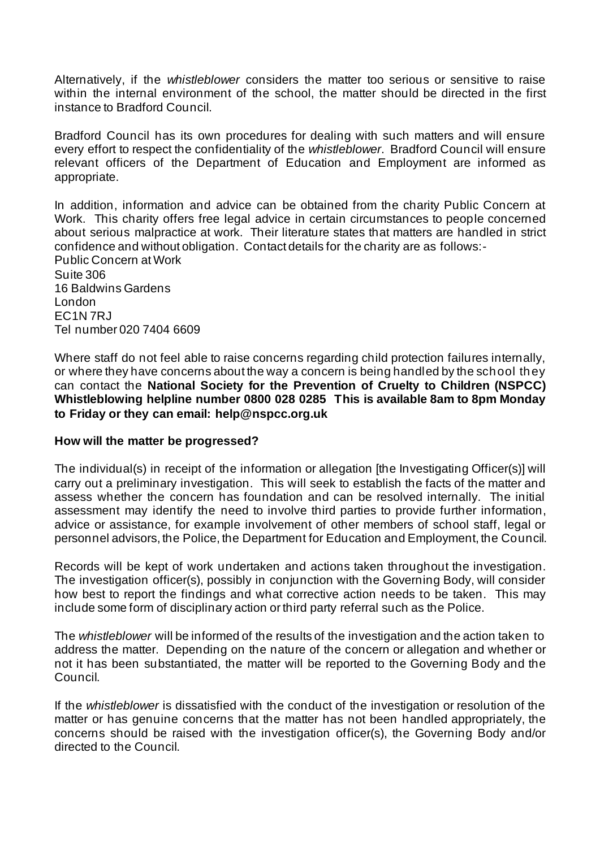Alternatively, if the *whistleblower* considers the matter too serious or sensitive to raise within the internal environment of the school, the matter should be directed in the first instance to Bradford Council.

Bradford Council has its own procedures for dealing with such matters and will ensure every effort to respect the confidentiality of the *whistleblower*. Bradford Council will ensure relevant officers of the Department of Education and Employment are informed as appropriate.

In addition, information and advice can be obtained from the charity Public Concern at Work. This charity offers free legal advice in certain circumstances to people concerned about serious malpractice at work. Their literature states that matters are handled in strict confidence and without obligation. Contact details for the charity are as follows:- Public Concern at Work Suite 306 16 Baldwins Gardens London EC1N 7RJ Tel number 020 7404 6609

Where staff do not feel able to raise concerns regarding child protection failures internally, or where they have concerns about the way a concern is being handled by the school they can contact the **National Society for the Prevention of Cruelty to Children (NSPCC) Whistleblowing helpline number 0800 028 0285 This is available 8am to 8pm Monday to Friday or they can email: help@nspcc.org.uk**

#### **How will the matter be progressed?**

The individual(s) in receipt of the information or allegation [the Investigating Officer(s)] will carry out a preliminary investigation. This will seek to establish the facts of the matter and assess whether the concern has foundation and can be resolved internally. The initial assessment may identify the need to involve third parties to provide further information, advice or assistance, for example involvement of other members of school staff, legal or personnel advisors, the Police, the Department for Education and Employment, the Council.

Records will be kept of work undertaken and actions taken throughout the investigation. The investigation officer(s), possibly in conjunction with the Governing Body, will consider how best to report the findings and what corrective action needs to be taken. This may include some form of disciplinary action or third party referral such as the Police.

The *whistleblower* will be informed of the results of the investigation and the action taken to address the matter. Depending on the nature of the concern or allegation and whether or not it has been substantiated, the matter will be reported to the Governing Body and the Council.

If the *whistleblower* is dissatisfied with the conduct of the investigation or resolution of the matter or has genuine concerns that the matter has not been handled appropriately, the concerns should be raised with the investigation officer(s), the Governing Body and/or directed to the Council.